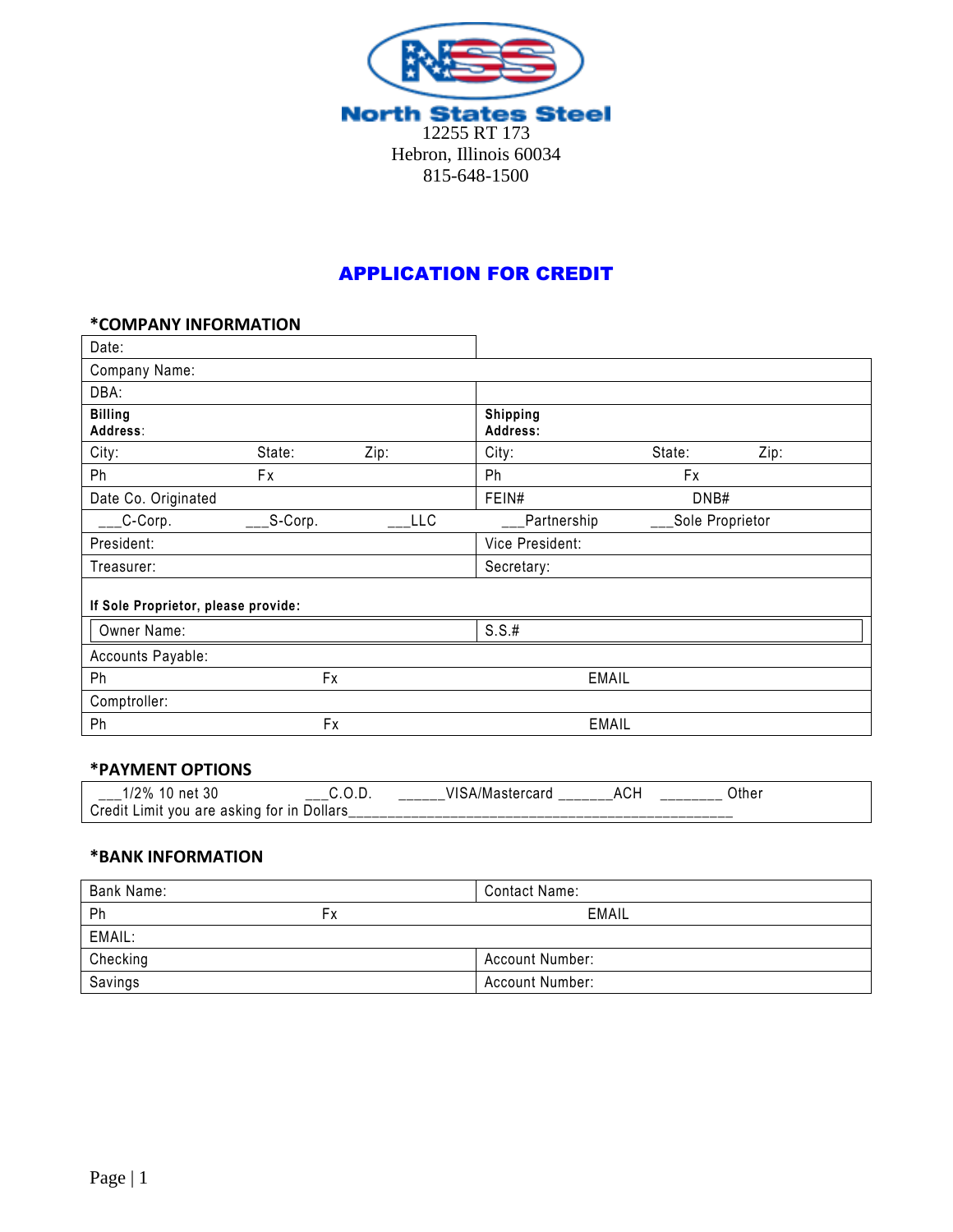

### APPLICATION FOR CREDIT

#### **\*COMPANY INFORMATION**

| Date:                               |                 |            |                      |                    |      |
|-------------------------------------|-----------------|------------|----------------------|--------------------|------|
| Company Name:                       |                 |            |                      |                    |      |
| DBA:                                |                 |            |                      |                    |      |
| <b>Billing</b><br>Address:          |                 |            | Shipping<br>Address: |                    |      |
|                                     |                 |            |                      |                    |      |
| City:                               | State:          | Zip:       | City:                | State:             | Zip: |
| Ph                                  | Fx              |            | Ph                   | Fx                 |      |
| Date Co. Originated                 |                 |            | FEIN#                | DNB#               |      |
| $C-C$ orp.                          | $\_\_\$ S-Corp. | <b>LLC</b> | Partnership          | ___Sole Proprietor |      |
| President:                          |                 |            | Vice President:      |                    |      |
| Treasurer:                          |                 |            | Secretary:           |                    |      |
| If Sole Proprietor, please provide: |                 |            |                      |                    |      |
|                                     |                 |            |                      |                    |      |
| Owner Name:                         |                 |            | S.S.t                |                    |      |
| Accounts Payable:                   |                 |            |                      |                    |      |
| Ph                                  | Fx              |            | <b>EMAIL</b>         |                    |      |
| Comptroller:                        |                 |            |                      |                    |      |
| Ph                                  | Fx              |            | <b>EMAIL</b>         |                    |      |

#### **\*PAYMENT OPTIONS**

| 1/2%<br>0 net 30،<br>____                  | ◡.◡.◡<br>____ | ∖/Mastercard<br>VISA | nvi. | Jther |  |
|--------------------------------------------|---------------|----------------------|------|-------|--|
| Credit Limit you are asking for in Dollars |               |                      |      |       |  |

#### **\*BANK INFORMATION**

| Bank Name: |    | <b>Contact Name:</b> |  |  |
|------------|----|----------------------|--|--|
| Ph         | FΧ | EMAIL                |  |  |
| EMAIL:     |    |                      |  |  |
| Checking   |    | Account Number:      |  |  |
| Savings    |    | Account Number:      |  |  |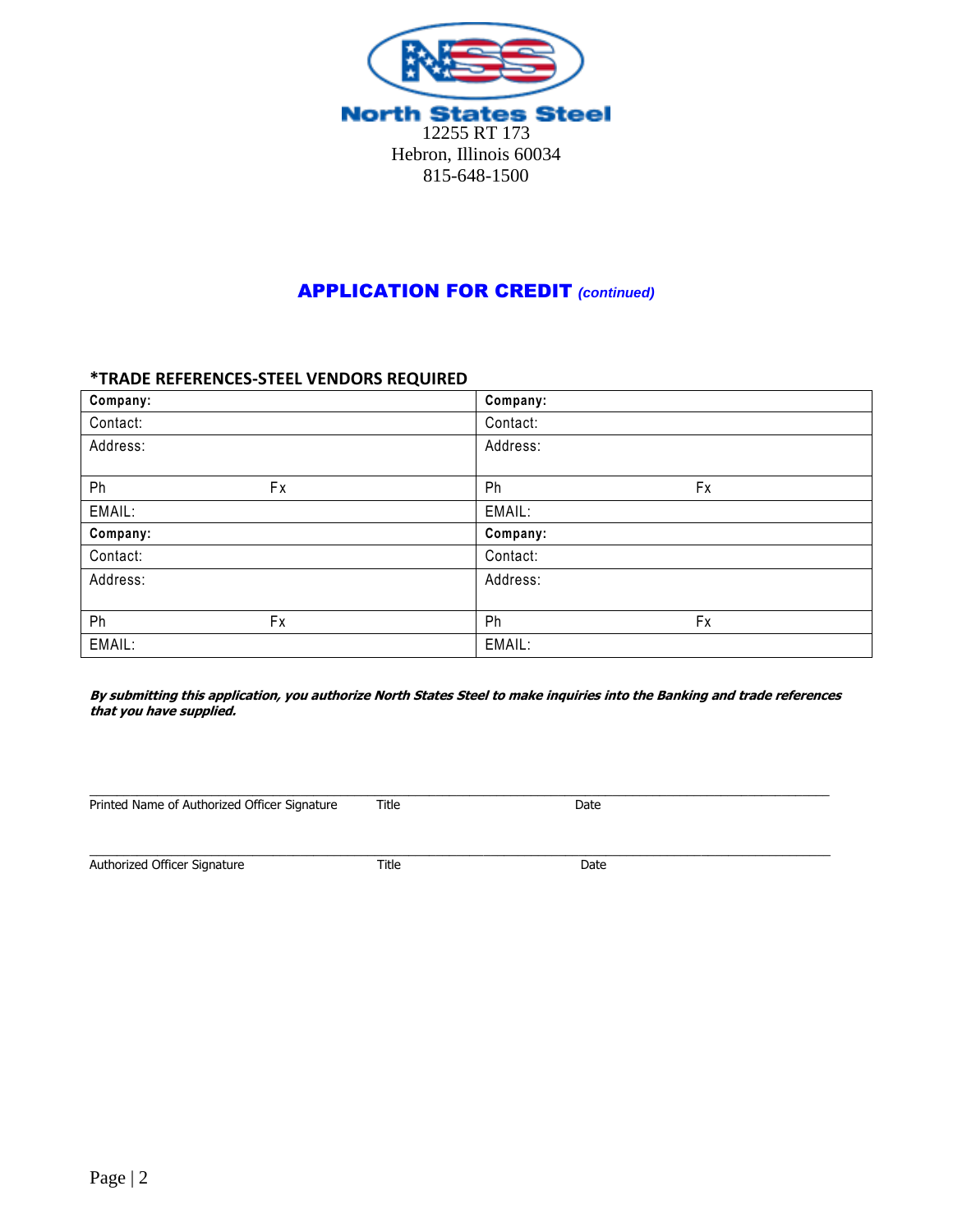

### APPLICATION FOR CREDIT *(continued)*

#### **\*TRADE REFERENCES-STEEL VENDORS REQUIRED**

| Company: |    | Company: |    |
|----------|----|----------|----|
| Contact: |    | Contact: |    |
| Address: |    | Address: |    |
|          |    |          |    |
| Ph       | Fx | Ph       | Fx |
| EMAIL:   |    | EMAIL:   |    |
| Company: |    | Company: |    |
| Contact: |    | Contact: |    |
| Address: |    | Address: |    |
|          |    |          |    |
| Ph       | Fx | Ph       | Fx |
| EMAIL:   |    | EMAIL:   |    |

**By submitting this application, you authorize North States Steel to make inquiries into the Banking and trade references that you have supplied.**

\_\_\_\_\_\_\_\_\_\_\_\_\_\_\_\_\_\_\_\_\_\_\_\_\_\_\_\_\_\_\_\_\_\_\_\_\_\_\_\_\_\_\_\_\_\_\_\_\_\_\_\_\_\_\_\_\_\_\_\_\_\_\_\_\_\_\_\_\_\_\_\_\_\_\_\_\_\_\_\_\_\_\_\_\_\_\_\_\_\_\_\_\_\_\_\_\_\_\_\_\_\_\_\_\_\_\_\_\_

Printed Name of Authorized Officer Signature Title Title Date

\_\_\_\_\_\_\_\_\_\_\_\_\_\_\_\_\_\_\_\_\_\_\_\_\_\_\_\_\_\_\_\_\_\_\_\_\_\_\_\_\_\_\_\_\_\_\_\_\_\_\_\_\_\_\_\_\_\_\_\_\_\_\_\_\_\_\_\_\_\_\_\_\_\_\_\_\_\_\_\_\_\_\_\_\_\_\_\_\_\_\_\_\_\_\_\_\_\_\_\_\_\_\_\_\_\_\_\_\_ Authorized Officer Signature Title Title Date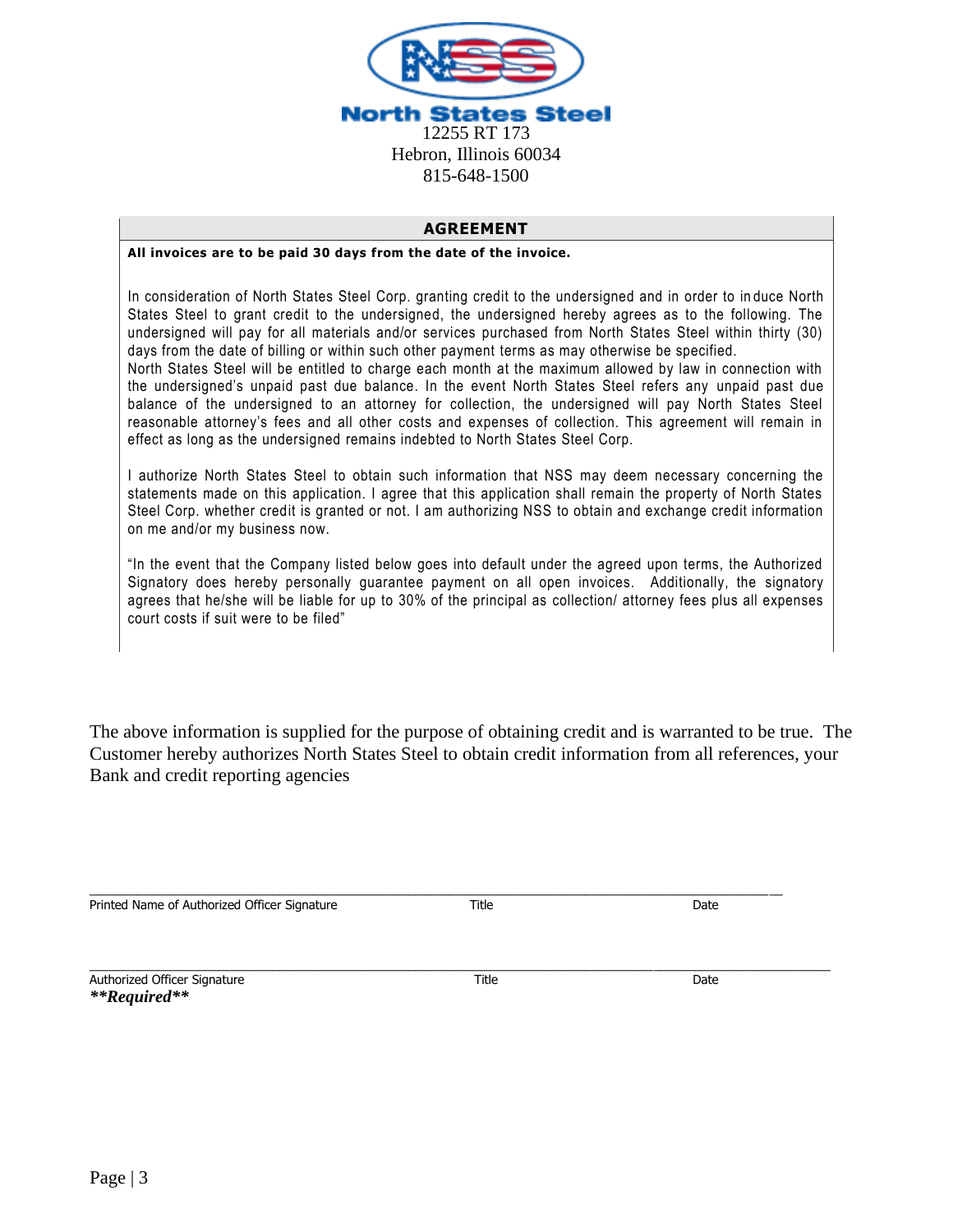

#### **AGREEMENT**

**All invoices are to be paid 30 days from the date of the invoice.**

In consideration of North States Steel Corp. granting credit to the undersigned and in order to in duce North States Steel to grant credit to the undersigned, the undersigned hereby agrees as to the following. The undersigned will pay for all materials and/or services purchased from North States Steel within thirty (30) days from the date of billing or within such other payment terms as may otherwise be specified.

North States Steel will be entitled to charge each month at the maximum allowed by law in connection with the undersigned's unpaid past due balance. In the event North States Steel refers any unpaid past due balance of the undersigned to an attorney for collection, the undersigned will pay North States Steel reasonable attorney's fees and all other costs and expenses of collection. This agreement will remain in effect as long as the undersigned remains indebted to North States Steel Corp.

I authorize North States Steel to obtain such information that NSS may deem necessary concerning the statements made on this application. I agree that this application shall remain the property of North States Steel Corp. whether credit is granted or not. I am authorizing NSS to obtain and exchange credit information on me and/or my business now.

"In the event that the Company listed below goes into default under the agreed upon terms, the Authorized Signatory does hereby personally guarantee payment on all open invoices. Additionally, the signatory agrees that he/she will be liable for up to 30% of the principal as collection/ attorney fees plus all expenses court costs if suit were to be filed"

The above information is supplied for the purpose of obtaining credit and is warranted to be true. The Customer hereby authorizes North States Steel to obtain credit information from all references, your Bank and credit reporting agencies

\_\_\_\_\_\_\_\_\_\_\_\_\_\_\_\_\_\_\_\_\_\_\_\_\_\_\_\_\_\_\_\_\_\_\_\_\_\_\_\_\_\_\_\_\_\_\_\_\_\_\_\_\_\_\_\_\_\_\_\_\_\_\_\_\_\_\_\_\_\_\_\_\_\_\_\_\_\_\_\_\_\_\_\_\_\_\_\_\_\_\_\_\_\_\_\_\_\_\_\_\_\_ Printed Name of Authorized Officer Signature Title Title Title Cases are the Date

Authorized Officer Signature Title Title Controller and Date Date Date Date Date *\*\*Required\*\**

\_\_\_\_\_\_\_\_\_\_\_\_\_\_\_\_\_\_\_\_\_\_\_\_\_\_\_\_\_\_\_\_\_\_\_\_\_\_\_\_\_\_\_\_\_\_\_\_\_\_\_\_\_\_\_\_\_\_\_\_\_\_\_\_\_\_\_\_\_\_\_\_\_\_\_\_\_\_\_\_\_\_\_\_\_\_\_\_\_\_\_\_\_\_\_\_\_\_\_\_\_\_\_\_\_\_\_\_\_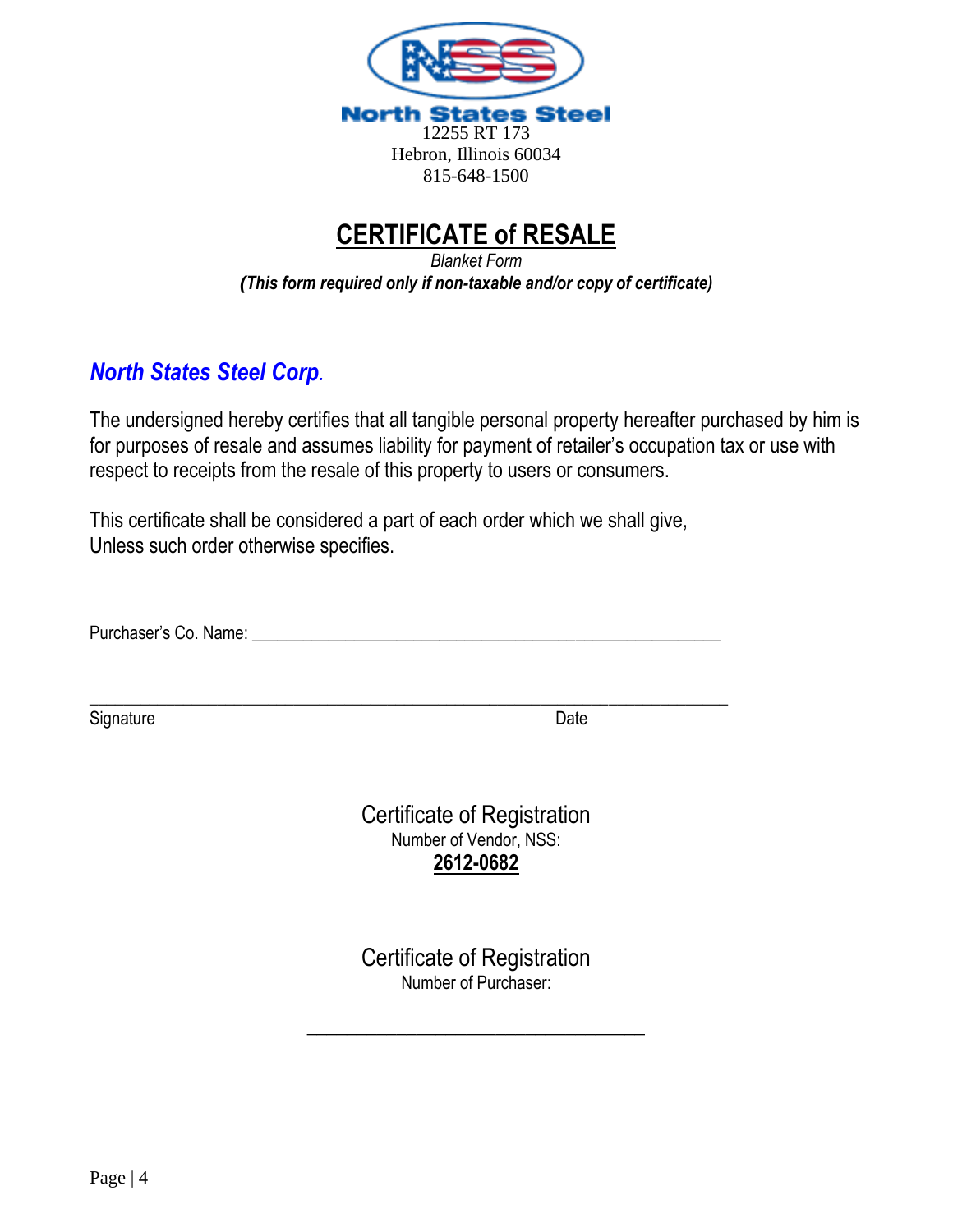

### **CERTIFICATE of RESALE**

*Blanket Form (This form required only if non-taxable and/or copy of certificate)*

### *North States Steel Corp.*

The undersigned hereby certifies that all tangible personal property hereafter purchased by him is for purposes of resale and assumes liability for payment of retailer's occupation tax or use with respect to receipts from the resale of this property to users or consumers.

This certificate shall be considered a part of each order which we shall give, Unless such order otherwise specifies.

Purchaser's Co. Name: \_\_\_\_\_\_\_\_\_\_\_\_\_\_\_\_\_\_\_\_\_\_\_\_\_\_\_\_\_\_\_\_\_\_\_\_\_\_\_\_\_\_\_\_\_\_\_\_\_\_\_\_\_\_\_

\_\_\_\_\_\_\_\_\_\_\_\_\_\_\_\_\_\_\_\_\_\_\_\_\_\_\_\_\_\_\_\_\_\_\_\_\_\_\_\_\_\_\_\_\_\_\_\_\_\_\_\_\_\_\_\_\_\_\_\_\_\_\_\_\_\_\_\_\_\_\_\_\_\_\_ Signature Date

Certificate of Registration Number of Vendor, NSS: **2612-0682**

Certificate of Registration Number of Purchaser:

\_\_\_\_\_\_\_\_\_\_\_\_\_\_\_\_\_\_\_\_\_\_\_\_\_\_\_\_\_\_\_\_\_\_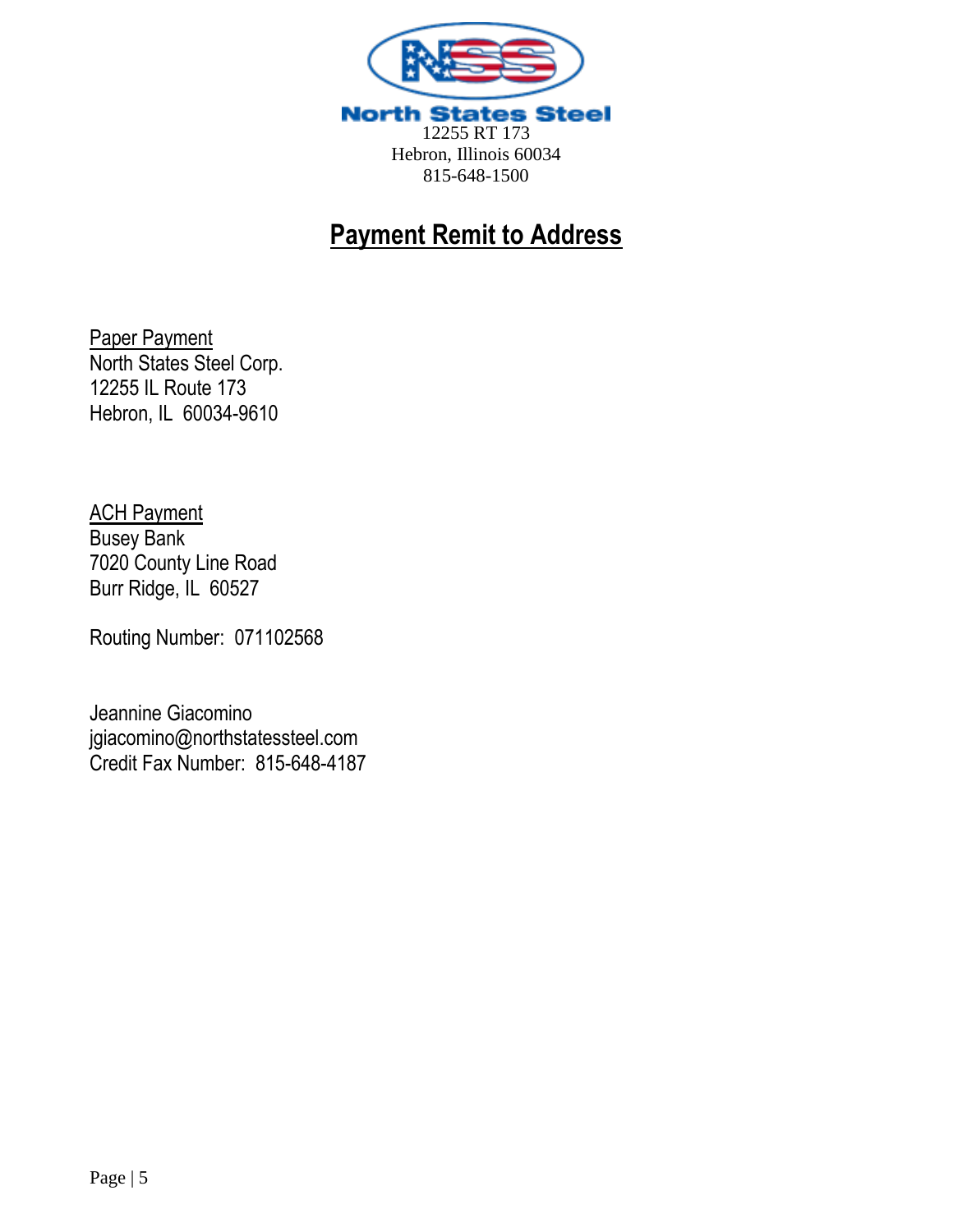

## **Payment Remit to Address**

Paper Payment North States Steel Corp. 12255 IL Route 173 Hebron, IL 60034-9610

**ACH Payment** Busey Bank 7020 County Line Road Burr Ridge, IL 60527

Routing Number: 071102568

Jeannine Giacomino jgiacomino@northstatessteel.com Credit Fax Number: 815-648-4187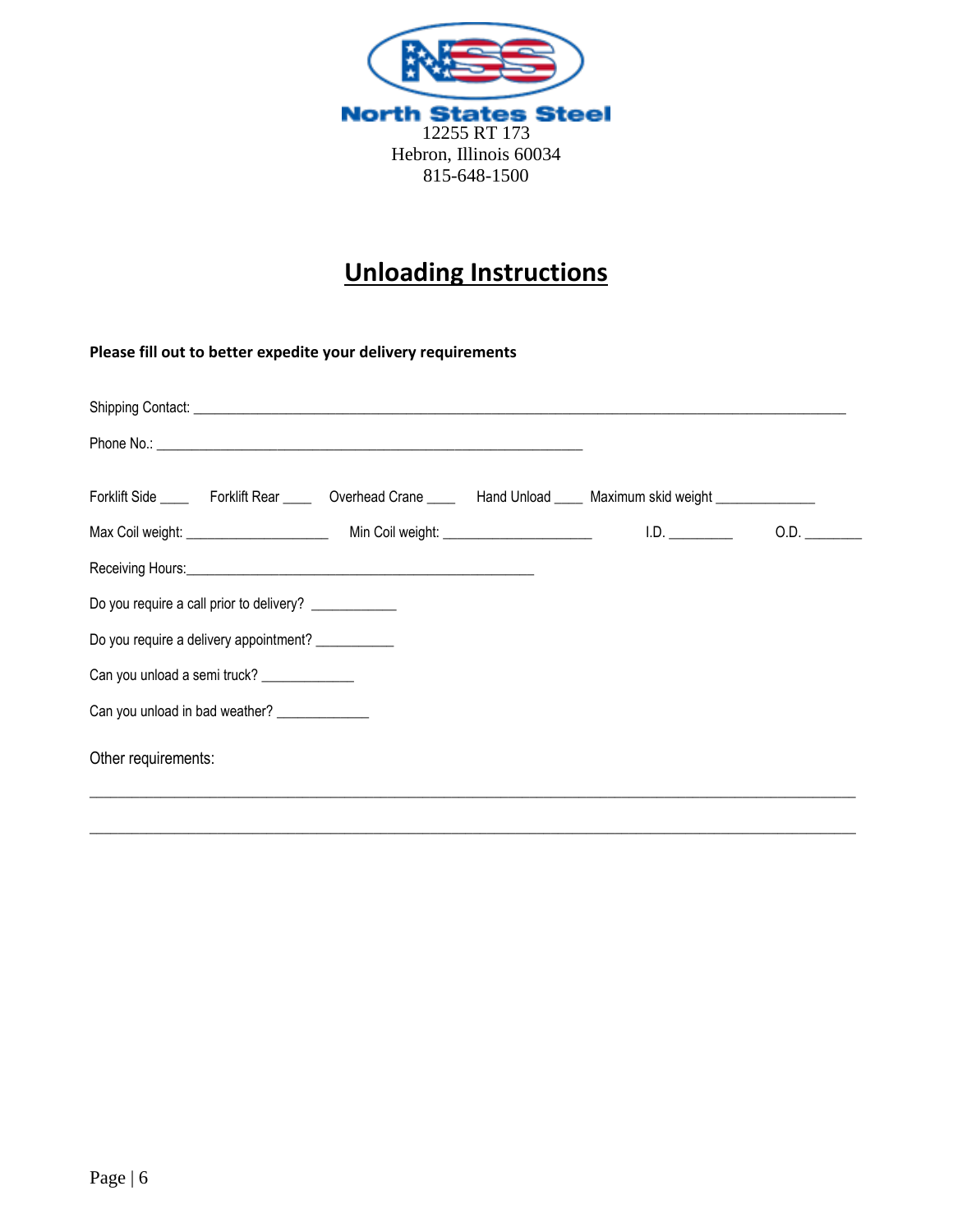

## **Unloading Instructions**

**Please fill out to better expedite your delivery requirements**

| Forklift Side ______ Forklift Rear ______ Overhead Crane _____ Hand Unload _____ Maximum skid weight ____________ |  |  |      |      |
|-------------------------------------------------------------------------------------------------------------------|--|--|------|------|
| Max Coil weight: _________________________ Min Coil weight: ____________________                                  |  |  | 1.D. | O.D. |
| Receiving Hours: <u>Communications</u> Contract the Receiving Hours:                                              |  |  |      |      |
| Do you require a call prior to delivery? _____________                                                            |  |  |      |      |
| Do you require a delivery appointment? ___________                                                                |  |  |      |      |
| Can you unload a semi truck?                                                                                      |  |  |      |      |
| Can you unload in bad weather? _____________                                                                      |  |  |      |      |
| Other requirements:                                                                                               |  |  |      |      |
|                                                                                                                   |  |  |      |      |

\_\_\_\_\_\_\_\_\_\_\_\_\_\_\_\_\_\_\_\_\_\_\_\_\_\_\_\_\_\_\_\_\_\_\_\_\_\_\_\_\_\_\_\_\_\_\_\_\_\_\_\_\_\_\_\_\_\_\_\_\_\_\_\_\_\_\_\_\_\_\_\_\_\_\_\_\_\_\_\_\_\_\_\_\_\_\_\_\_\_\_\_\_\_\_\_\_\_\_\_\_\_\_\_\_\_\_\_